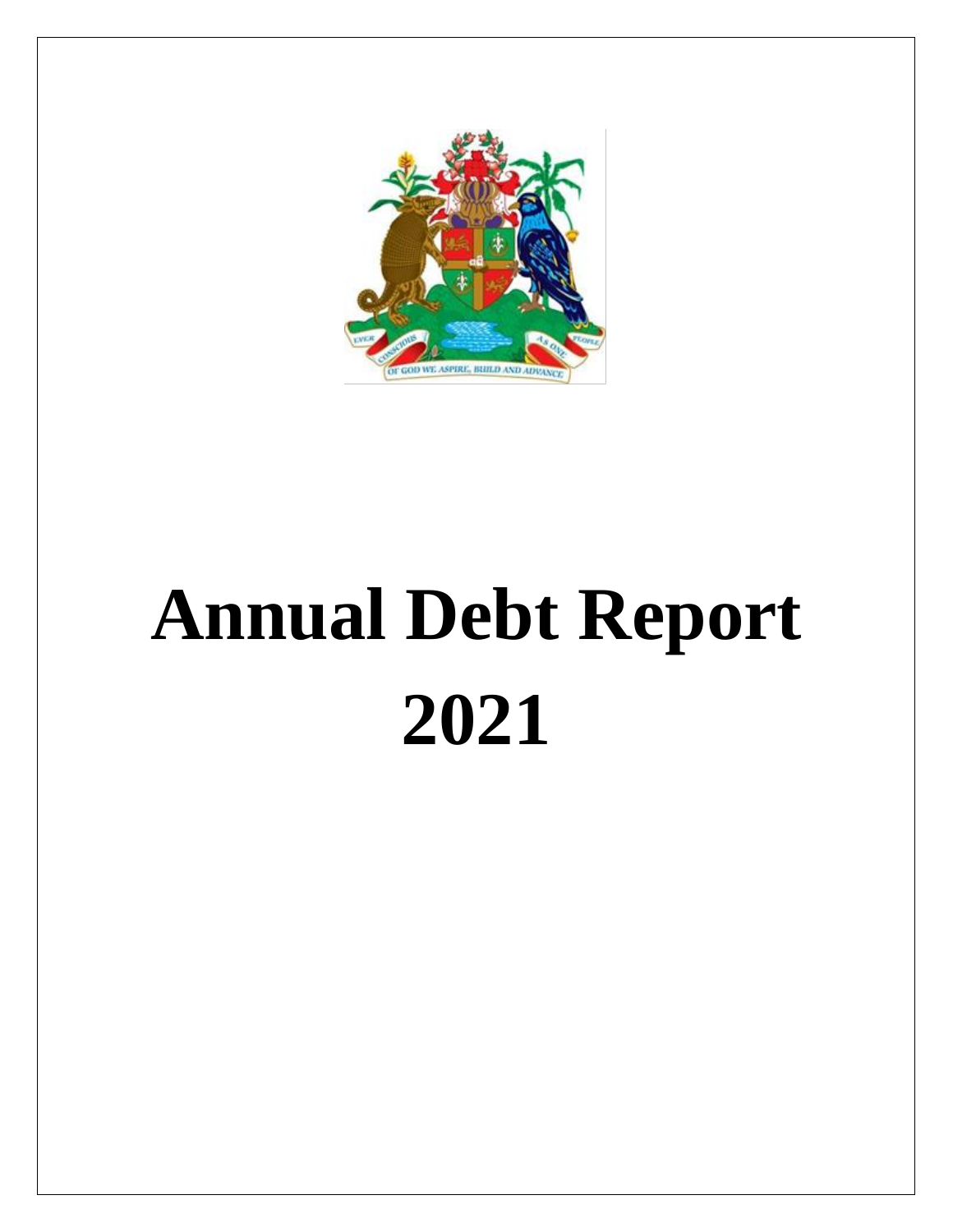

# **Annual Debt Report 2021**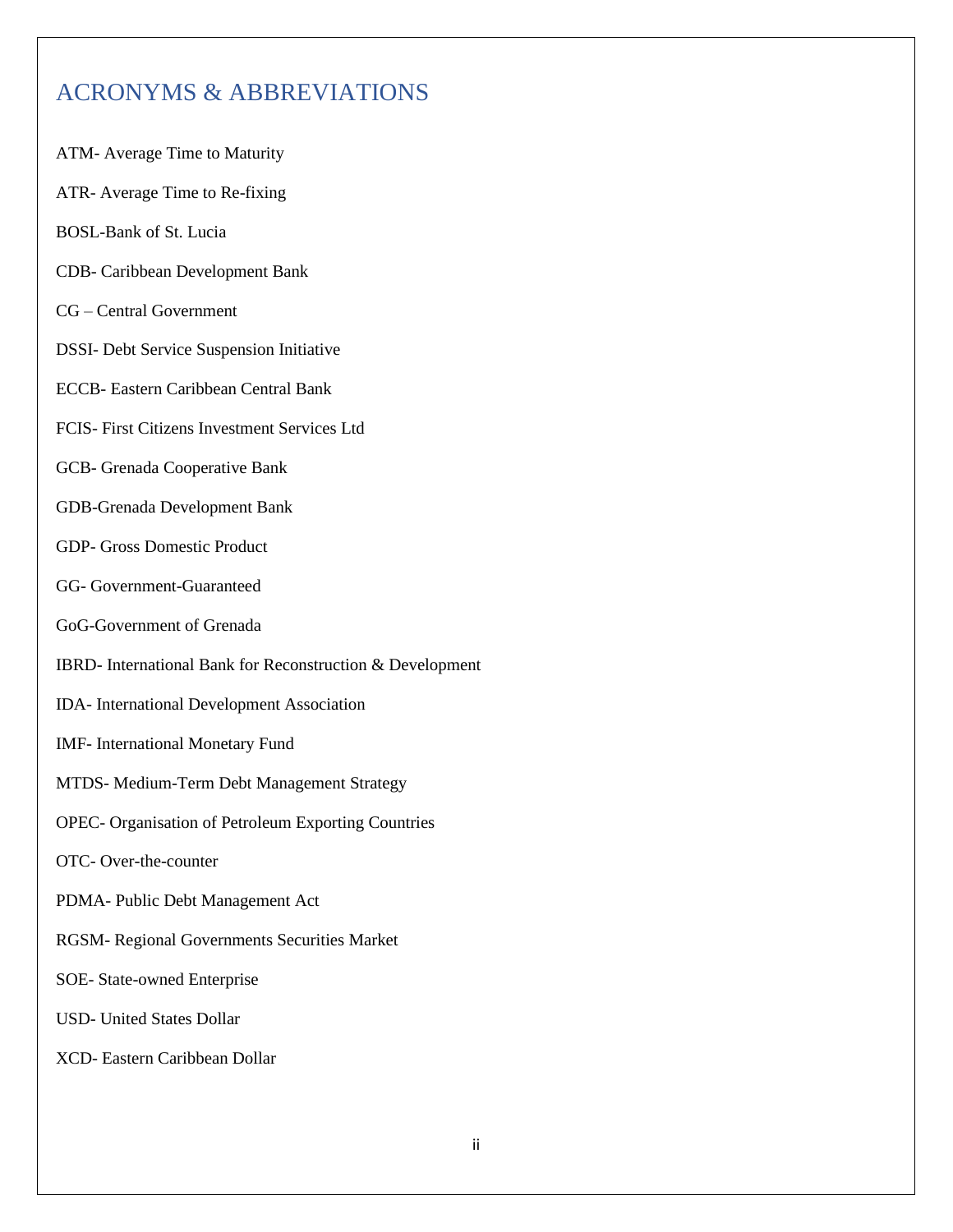## ACRONYMS & ABBREVIATIONS

- ATM- Average Time to Maturity
- ATR- Average Time to Re-fixing
- BOSL-Bank of St. Lucia
- CDB- Caribbean Development Bank
- CG Central Government
- DSSI- Debt Service Suspension Initiative
- ECCB- Eastern Caribbean Central Bank
- FCIS- First Citizens Investment Services Ltd
- GCB- Grenada Cooperative Bank
- GDB-Grenada Development Bank
- GDP- Gross Domestic Product
- GG- Government-Guaranteed
- GoG-Government of Grenada
- IBRD- International Bank for Reconstruction & Development
- IDA- International Development Association
- IMF- International Monetary Fund
- MTDS- Medium-Term Debt Management Strategy
- OPEC- Organisation of Petroleum Exporting Countries
- OTC- Over-the-counter
- PDMA- Public Debt Management Act
- RGSM- Regional Governments Securities Market
- SOE- State-owned Enterprise
- USD- United States Dollar
- XCD- Eastern Caribbean Dollar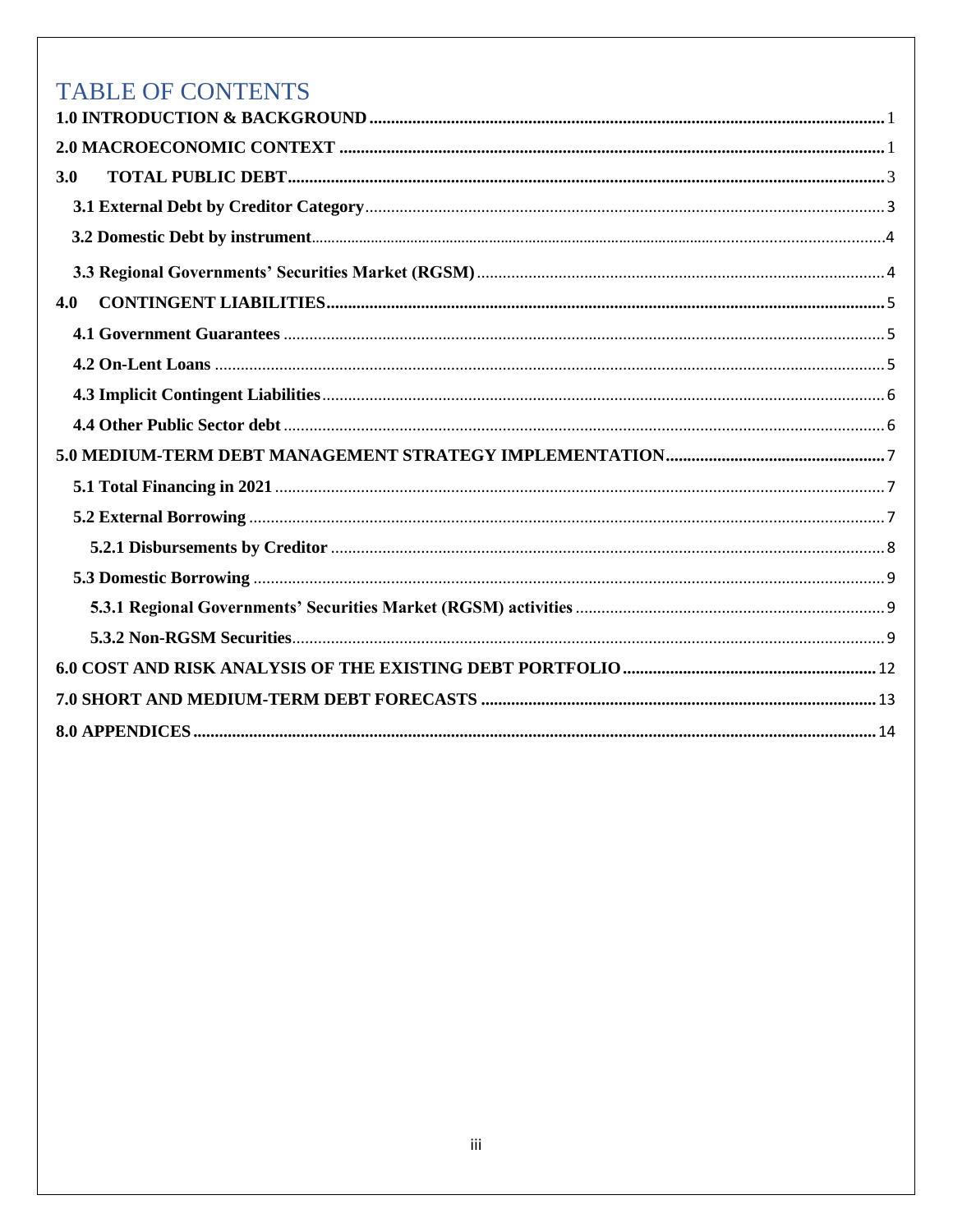# TABLE OF CONTENTS

| 3.0 |  |
|-----|--|
|     |  |
|     |  |
|     |  |
| 4.0 |  |
|     |  |
|     |  |
|     |  |
|     |  |
|     |  |
|     |  |
|     |  |
|     |  |
|     |  |
|     |  |
|     |  |
|     |  |
|     |  |
|     |  |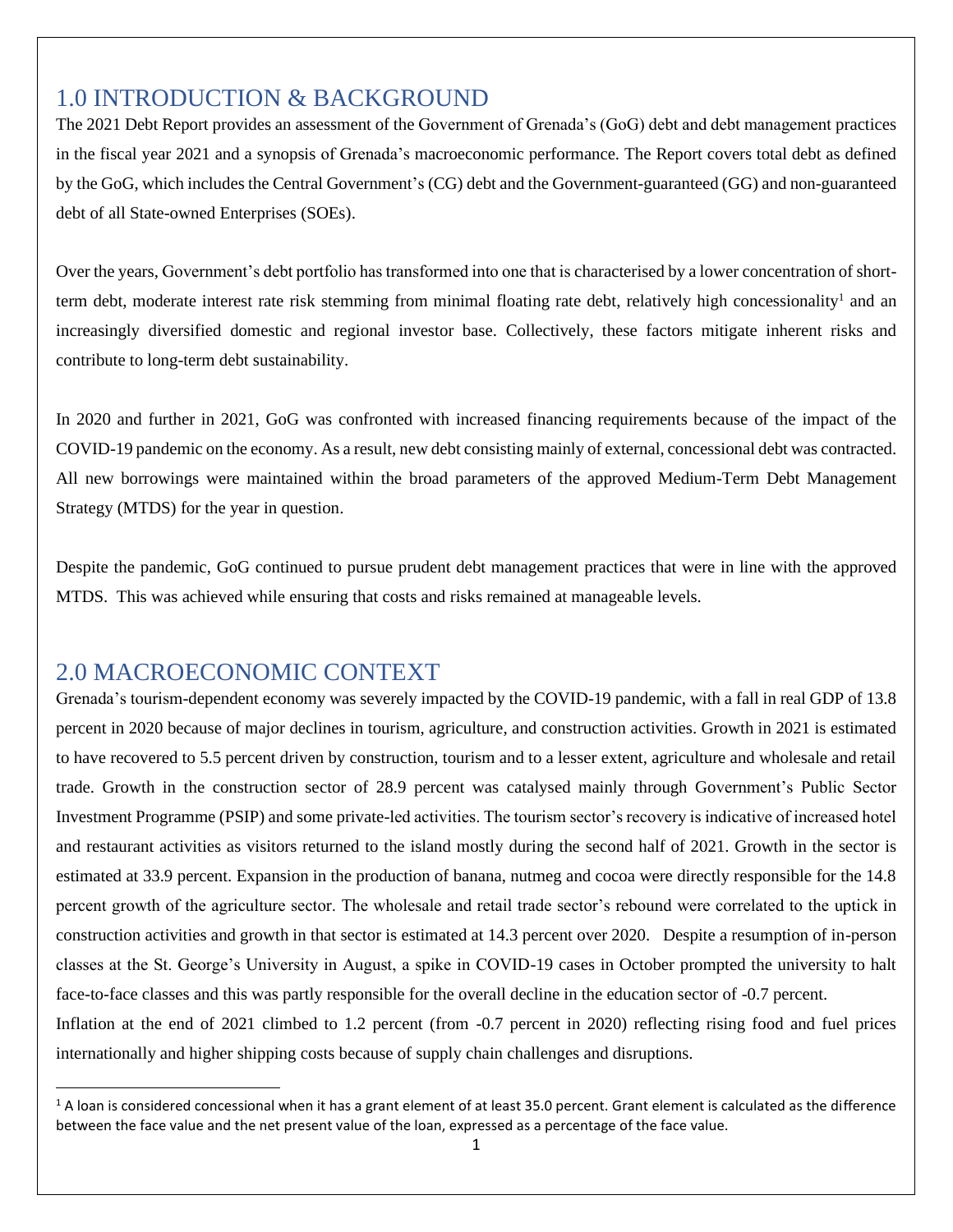## <span id="page-3-0"></span>1.0 INTRODUCTION & BACKGROUND

The 2021 Debt Report provides an assessment of the Government of Grenada's (GoG) debt and debt management practices in the fiscal year 2021 and a synopsis of Grenada's macroeconomic performance. The Report covers total debt as defined by the GoG, which includes the Central Government's (CG) debt and the Government-guaranteed (GG) and non-guaranteed debt of all State-owned Enterprises (SOEs).

Over the years, Government's debt portfolio has transformed into one that is characterised by a lower concentration of shortterm debt, moderate interest rate risk stemming from minimal floating rate debt, relatively high concessionality<sup>1</sup> and an increasingly diversified domestic and regional investor base. Collectively, these factors mitigate inherent risks and contribute to long-term debt sustainability.

In 2020 and further in 2021, GoG was confronted with increased financing requirements because of the impact of the COVID-19 pandemic on the economy. As a result, new debt consisting mainly of external, concessional debt was contracted. All new borrowings were maintained within the broad parameters of the approved Medium-Term Debt Management Strategy (MTDS) for the year in question.

Despite the pandemic, GoG continued to pursue prudent debt management practices that were in line with the approved MTDS. This was achieved while ensuring that costs and risks remained at manageable levels.

## <span id="page-3-1"></span>2.0 MACROECONOMIC CONTEXT

Grenada's tourism-dependent economy was severely impacted by the COVID-19 pandemic, with a fall in real GDP of 13.8 percent in 2020 because of major declines in tourism, agriculture, and construction activities. Growth in 2021 is estimated to have recovered to 5.5 percent driven by construction, tourism and to a lesser extent, agriculture and wholesale and retail trade. Growth in the construction sector of 28.9 percent was catalysed mainly through Government's Public Sector Investment Programme (PSIP) and some private-led activities. The tourism sector's recovery is indicative of increased hotel and restaurant activities as visitors returned to the island mostly during the second half of 2021. Growth in the sector is estimated at 33.9 percent. Expansion in the production of banana, nutmeg and cocoa were directly responsible for the 14.8 percent growth of the agriculture sector. The wholesale and retail trade sector's rebound were correlated to the uptick in construction activities and growth in that sector is estimated at 14.3 percent over 2020. Despite a resumption of in-person classes at the St. George's University in August, a spike in COVID-19 cases in October prompted the university to halt face-to-face classes and this was partly responsible for the overall decline in the education sector of -0.7 percent. Inflation at the end of 2021 climbed to 1.2 percent (from -0.7 percent in 2020) reflecting rising food and fuel prices internationally and higher shipping costs because of supply chain challenges and disruptions.

 $1$  A loan is considered concessional when it has a grant element of at least 35.0 percent. Grant element is calculated as the difference between the face value and the net present value of the loan, expressed as a percentage of the face value.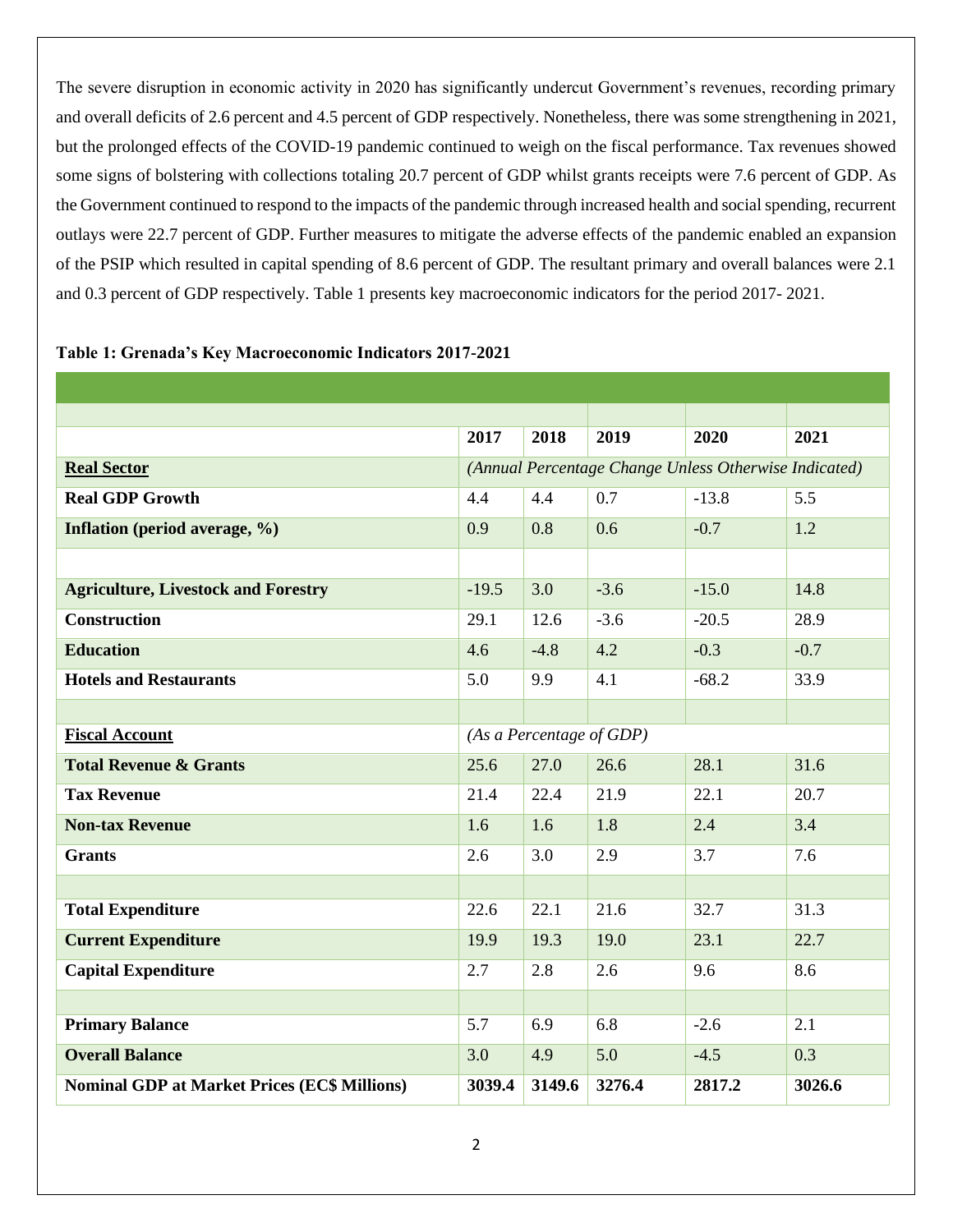The severe disruption in economic activity in 2020 has significantly undercut Government's revenues, recording primary and overall deficits of 2.6 percent and 4.5 percent of GDP respectively. Nonetheless, there was some strengthening in 2021, but the prolonged effects of the COVID-19 pandemic continued to weigh on the fiscal performance. Tax revenues showed some signs of bolstering with collections totaling 20.7 percent of GDP whilst grants receipts were 7.6 percent of GDP. As the Government continued to respond to the impacts of the pandemic through increased health and social spending, recurrent outlays were 22.7 percent of GDP. Further measures to mitigate the adverse effects of the pandemic enabled an expansion of the PSIP which resulted in capital spending of 8.6 percent of GDP. The resultant primary and overall balances were 2.1 and 0.3 percent of GDP respectively. Table 1 presents key macroeconomic indicators for the period 2017- 2021.

|                                                     | 2017                     | 2018   | 2019   | 2020                                                  | 2021   |
|-----------------------------------------------------|--------------------------|--------|--------|-------------------------------------------------------|--------|
| <b>Real Sector</b>                                  |                          |        |        | (Annual Percentage Change Unless Otherwise Indicated) |        |
| <b>Real GDP Growth</b>                              | 4.4                      | 4.4    | 0.7    | $-13.8$                                               | 5.5    |
| Inflation (period average, %)                       | 0.9                      | 0.8    | 0.6    | $-0.7$                                                | 1.2    |
|                                                     |                          |        |        |                                                       |        |
| <b>Agriculture, Livestock and Forestry</b>          | $-19.5$                  | 3.0    | $-3.6$ | $-15.0$                                               | 14.8   |
| <b>Construction</b>                                 | 29.1                     | 12.6   | $-3.6$ | $-20.5$                                               | 28.9   |
| <b>Education</b>                                    | 4.6                      | $-4.8$ | 4.2    | $-0.3$                                                | $-0.7$ |
| <b>Hotels and Restaurants</b>                       | 5.0                      | 9.9    | 4.1    | $-68.2$                                               | 33.9   |
|                                                     |                          |        |        |                                                       |        |
| <b>Fiscal Account</b>                               | (As a Percentage of GDP) |        |        |                                                       |        |
| <b>Total Revenue &amp; Grants</b>                   | 25.6                     | 27.0   | 26.6   | 28.1                                                  | 31.6   |
| <b>Tax Revenue</b>                                  | 21.4                     | 22.4   | 21.9   | 22.1                                                  | 20.7   |
| <b>Non-tax Revenue</b>                              | 1.6                      | 1.6    | 1.8    | 2.4                                                   | 3.4    |
| <b>Grants</b>                                       | 2.6                      | 3.0    | 2.9    | 3.7                                                   | 7.6    |
|                                                     |                          |        |        |                                                       |        |
| <b>Total Expenditure</b>                            | 22.6                     | 22.1   | 21.6   | 32.7                                                  | 31.3   |
| <b>Current Expenditure</b>                          | 19.9                     | 19.3   | 19.0   | 23.1                                                  | 22.7   |
| <b>Capital Expenditure</b>                          | 2.7                      | 2.8    | 2.6    | 9.6                                                   | 8.6    |
|                                                     |                          |        |        |                                                       |        |
| <b>Primary Balance</b>                              | 5.7                      | 6.9    | 6.8    | $-2.6$                                                | 2.1    |
| <b>Overall Balance</b>                              | 3.0                      | 4.9    | 5.0    | $-4.5$                                                | 0.3    |
| <b>Nominal GDP at Market Prices (EC\$ Millions)</b> | 3039.4                   | 3149.6 | 3276.4 | 2817.2                                                | 3026.6 |

#### **Table 1: Grenada's Key Macroeconomic Indicators 2017-2021**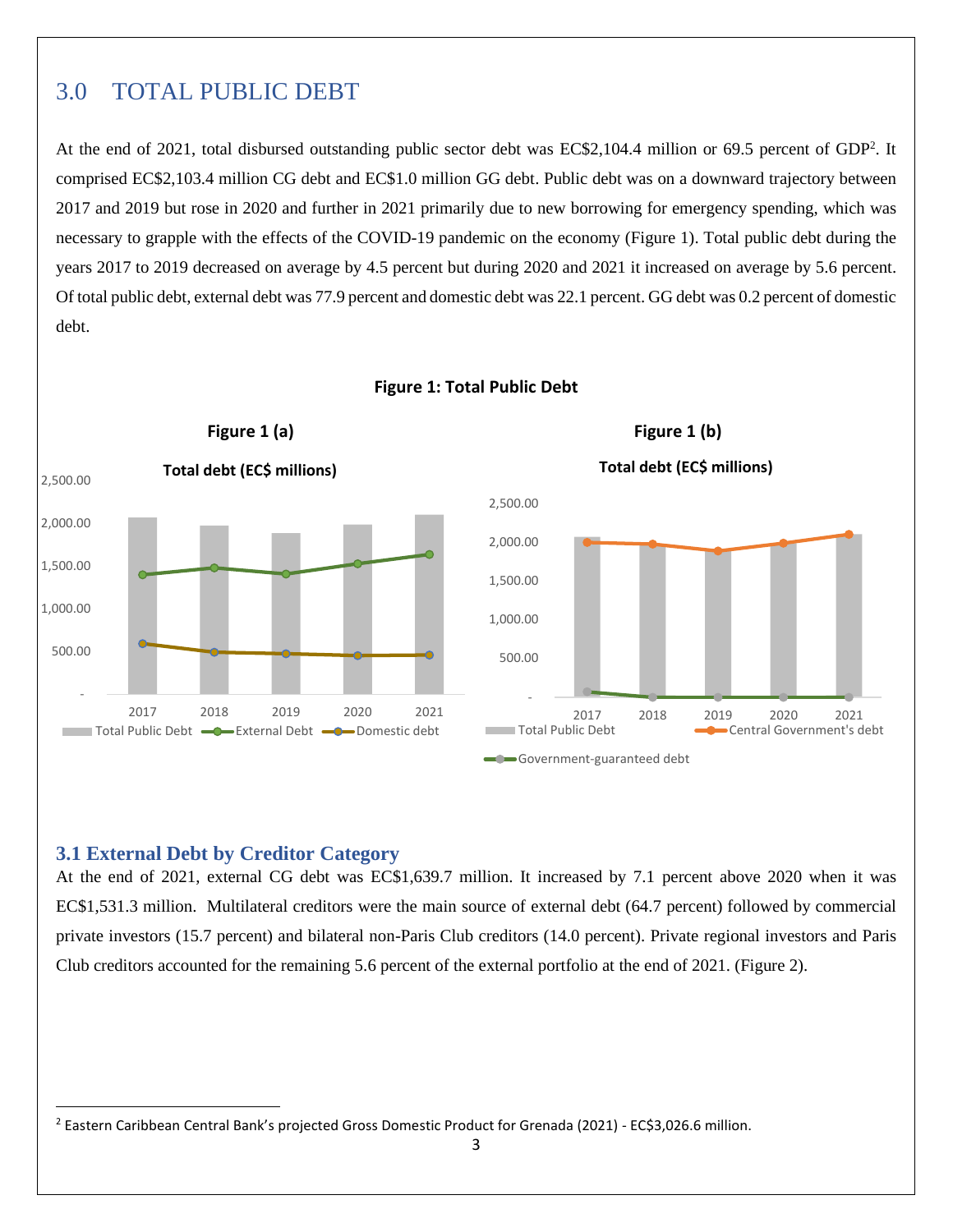## <span id="page-5-0"></span>3.0 TOTAL PUBLIC DEBT

At the end of 2021, total disbursed outstanding public sector debt was EC\$2,104.4 million or 69.5 percent of GDP<sup>2</sup>. It comprised EC\$2,103.4 million CG debt and EC\$1.0 million GG debt. Public debt was on a downward trajectory between 2017 and 2019 but rose in 2020 and further in 2021 primarily due to new borrowing for emergency spending, which was necessary to grapple with the effects of the COVID-19 pandemic on the economy (Figure 1). Total public debt during the years 2017 to 2019 decreased on average by 4.5 percent but during 2020 and 2021 it increased on average by 5.6 percent. Of total public debt, external debt was 77.9 percent and domestic debt was 22.1 percent. GG debt was 0.2 percent of domestic debt.



#### **Figure 1: Total Public Debt**

#### <span id="page-5-1"></span>**3.1 External Debt by Creditor Category**

At the end of 2021, external CG debt was EC\$1,639.7 million. It increased by 7.1 percent above 2020 when it was EC\$1,531.3 million. Multilateral creditors were the main source of external debt (64.7 percent) followed by commercial private investors (15.7 percent) and bilateral non-Paris Club creditors (14.0 percent). Private regional investors and Paris Club creditors accounted for the remaining 5.6 percent of the external portfolio at the end of 2021. (Figure 2).

<sup>&</sup>lt;sup>2</sup> Eastern Caribbean Central Bank's projected Gross Domestic Product for Grenada (2021) - EC\$3,026.6 million.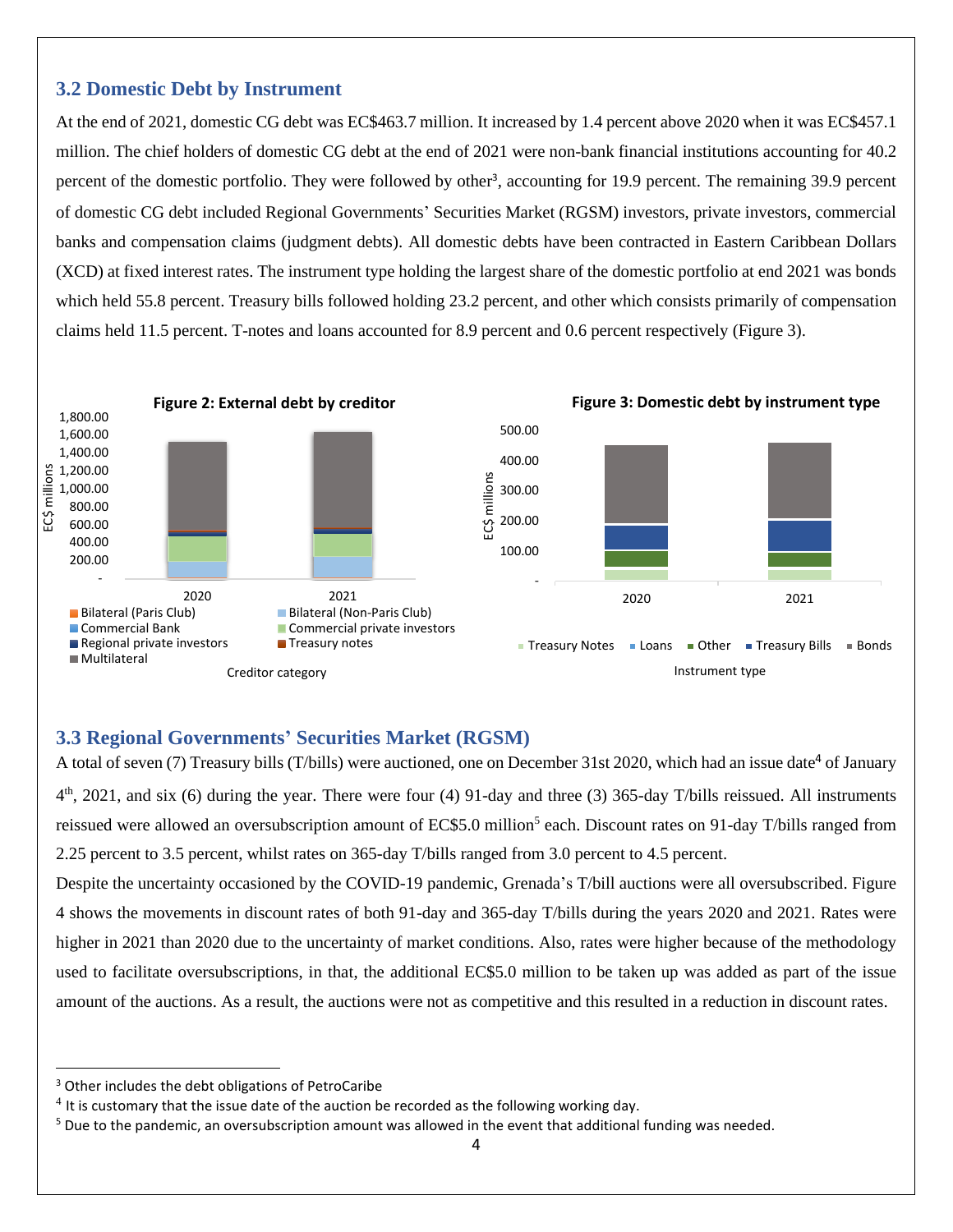#### **3.2 Domestic Debt by Instrument**

At the end of 2021, domestic CG debt was EC\$463.7 million. It increased by 1.4 percent above 2020 when it was EC\$457.1 million. The chief holders of domestic CG debt at the end of 2021 were non-bank financial institutions accounting for 40.2 percent of the domestic portfolio. They were followed by other<sup>3</sup>, accounting for 19.9 percent. The remaining 39.9 percent of domestic CG debt included Regional Governments' Securities Market (RGSM) investors, private investors, commercial banks and compensation claims (judgment debts). All domestic debts have been contracted in Eastern Caribbean Dollars (XCD) at fixed interest rates. The instrument type holding the largest share of the domestic portfolio at end 2021 was bonds which held 55.8 percent. Treasury bills followed holding 23.2 percent, and other which consists primarily of compensation claims held 11.5 percent. T-notes and loans accounted for 8.9 percent and 0.6 percent respectively (Figure 3).



#### <span id="page-6-0"></span>**3.3 Regional Governments' Securities Market (RGSM)**

A total of seven (7) Treasury bills (T/bills) were auctioned, one on December 31st 2020, which had an issue date<sup>4</sup> of January  $4<sup>th</sup>$ , 2021, and six (6) during the year. There were four (4) 91-day and three (3) 365-day T/bills reissued. All instruments reissued were allowed an oversubscription amount of EC\$5.0 million<sup>5</sup> each. Discount rates on 91-day T/bills ranged from 2.25 percent to 3.5 percent, whilst rates on 365-day T/bills ranged from 3.0 percent to 4.5 percent.

Despite the uncertainty occasioned by the COVID-19 pandemic, Grenada's T/bill auctions were all oversubscribed. Figure 4 shows the movements in discount rates of both 91-day and 365-day T/bills during the years 2020 and 2021. Rates were higher in 2021 than 2020 due to the uncertainty of market conditions. Also, rates were higher because of the methodology used to facilitate oversubscriptions, in that, the additional EC\$5.0 million to be taken up was added as part of the issue amount of the auctions. As a result, the auctions were not as competitive and this resulted in a reduction in discount rates.

<sup>&</sup>lt;sup>3</sup> Other includes the debt obligations of PetroCaribe

 $<sup>4</sup>$  It is customary that the issue date of the auction be recorded as the following working day.</sup>

<sup>&</sup>lt;sup>5</sup> Due to the pandemic, an oversubscription amount was allowed in the event that additional funding was needed.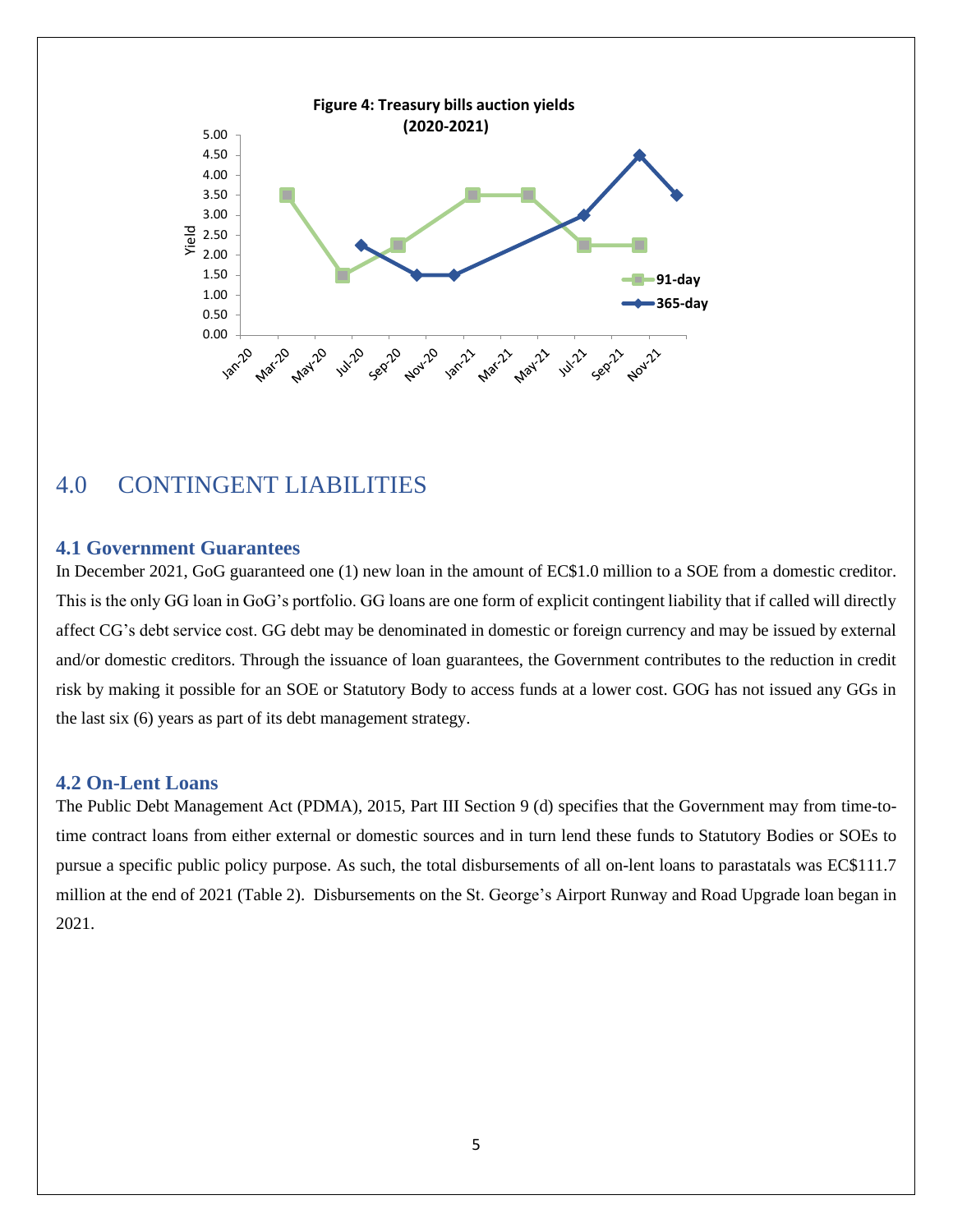

## <span id="page-7-0"></span>4.0 CONTINGENT LIABILITIES

#### <span id="page-7-1"></span>**4.1 Government Guarantees**

In December 2021, GoG guaranteed one (1) new loan in the amount of EC\$1.0 million to a SOE from a domestic creditor. This is the only GG loan in GoG's portfolio. GG loans are one form of explicit contingent liability that if called will directly affect CG's debt service cost. GG debt may be denominated in domestic or foreign currency and may be issued by external and/or domestic creditors. Through the issuance of loan guarantees, the Government contributes to the reduction in credit risk by making it possible for an SOE or Statutory Body to access funds at a lower cost. GOG has not issued any GGs in the last six (6) years as part of its debt management strategy.

#### <span id="page-7-2"></span>**4.2 On-Lent Loans**

The Public Debt Management Act (PDMA), 2015, Part III Section 9 (d) specifies that the Government may from time-totime contract loans from either external or domestic sources and in turn lend these funds to Statutory Bodies or SOEs to pursue a specific public policy purpose. As such, the total disbursements of all on-lent loans to parastatals was EC\$111.7 million at the end of 2021 (Table 2). Disbursements on the St. George's Airport Runway and Road Upgrade loan began in 2021.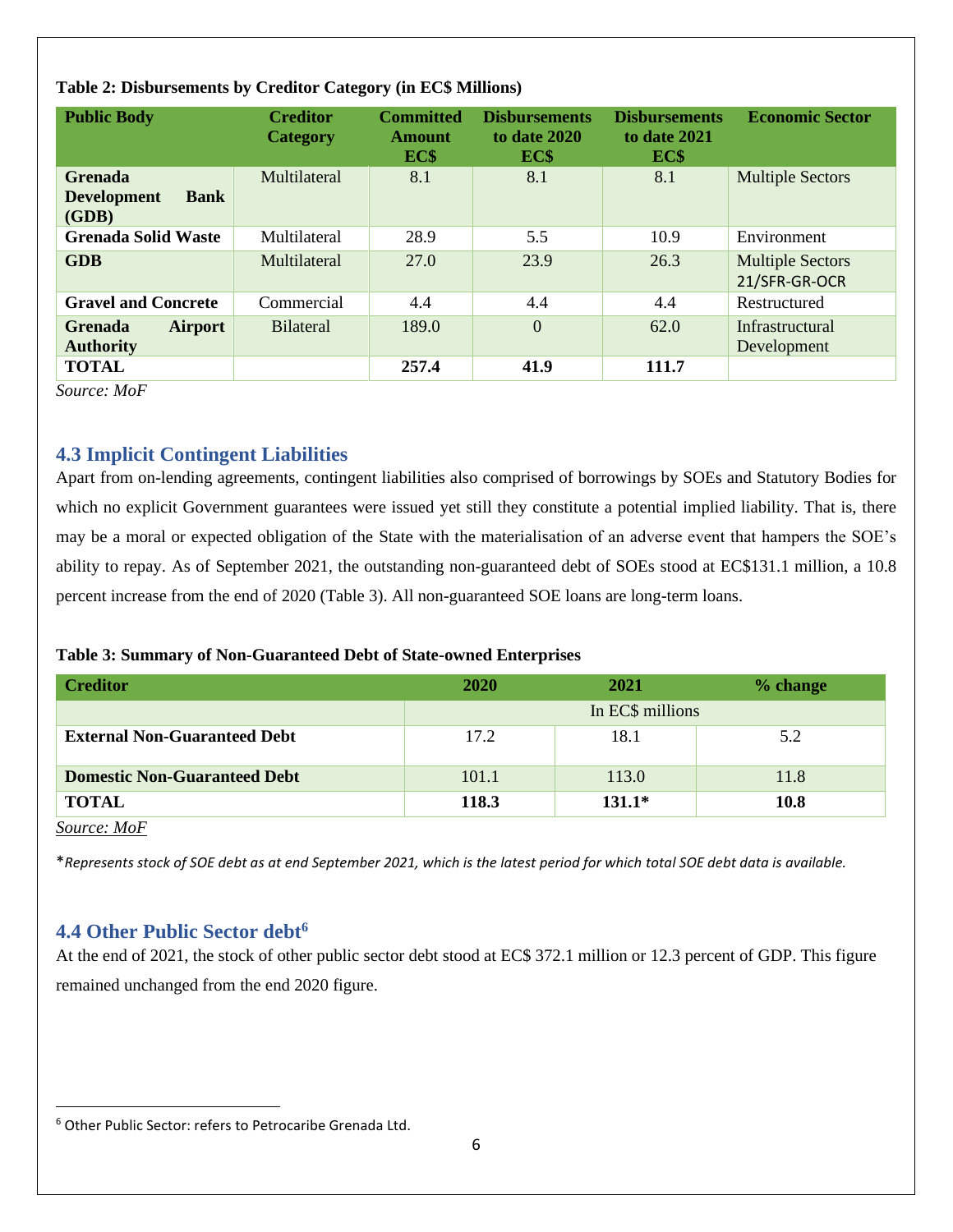| <b>Public Body</b>                                           | <b>Creditor</b><br><b>Category</b> | <b>Committed</b><br>Amount<br>EC\$ | <b>Disbursements</b><br>to date 2020<br>EC\$ | <b>Disbursements</b><br>to date 2021<br>EC\$ | <b>Economic Sector</b>                   |
|--------------------------------------------------------------|------------------------------------|------------------------------------|----------------------------------------------|----------------------------------------------|------------------------------------------|
| <b>Grenada</b><br><b>Development</b><br><b>Bank</b><br>(GDB) | Multilateral                       | 8.1                                | 8.1                                          | 8.1                                          | <b>Multiple Sectors</b>                  |
| <b>Grenada Solid Waste</b>                                   | Multilateral                       | 28.9                               | 5.5                                          | 10.9                                         | Environment                              |
| <b>GDB</b>                                                   | Multilateral                       | 27.0                               | 23.9                                         | 26.3                                         | <b>Multiple Sectors</b><br>21/SFR-GR-OCR |
| <b>Gravel and Concrete</b>                                   | Commercial                         | 4.4                                | 4.4                                          | 4.4                                          | Restructured                             |
| <b>Airport</b><br><b>Grenada</b><br><b>Authority</b>         | <b>Bilateral</b>                   | 189.0                              | $\overline{0}$                               | 62.0                                         | Infrastructural<br>Development           |
| <b>TOTAL</b>                                                 |                                    | 257.4                              | 41.9                                         | 111.7                                        |                                          |

#### **Table 2: Disbursements by Creditor Category (in EC\$ Millions)**

*Source: MoF*

#### <span id="page-8-0"></span>**4.3 Implicit Contingent Liabilities**

Apart from on-lending agreements, contingent liabilities also comprised of borrowings by SOEs and Statutory Bodies for which no explicit Government guarantees were issued yet still they constitute a potential implied liability. That is, there may be a moral or expected obligation of the State with the materialisation of an adverse event that hampers the SOE's ability to repay. As of September 2021, the outstanding non-guaranteed debt of SOEs stood at EC\$131.1 million, a 10.8 percent increase from the end of 2020 (Table 3). All non-guaranteed SOE loans are long-term loans.

#### **Table 3: Summary of Non-Guaranteed Debt of State-owned Enterprises**

| <b>Creditor</b>                     | <b>2020</b>      | 2021     | % change |  |
|-------------------------------------|------------------|----------|----------|--|
|                                     | In EC\$ millions |          |          |  |
| <b>External Non-Guaranteed Debt</b> | 17.2             | 18.1     | 5.2      |  |
| <b>Domestic Non-Guaranteed Debt</b> | 101.1            | 113.0    | 11.8     |  |
| <b>TOTAL</b>                        | 118.3            | $131.1*$ | 10.8     |  |

*Source: MoF*

\**Represents stock of SOE debt as at end September 2021, which is the latest period for which total SOE debt data is available.*

### <span id="page-8-1"></span>**4.4 Other Public Sector debt<sup>6</sup>**

At the end of 2021, the stock of other public sector debt stood at EC\$ 372.1 million or 12.3 percent of GDP. This figure remained unchanged from the end 2020 figure.

<sup>6</sup> Other Public Sector: refers to Petrocaribe Grenada Ltd.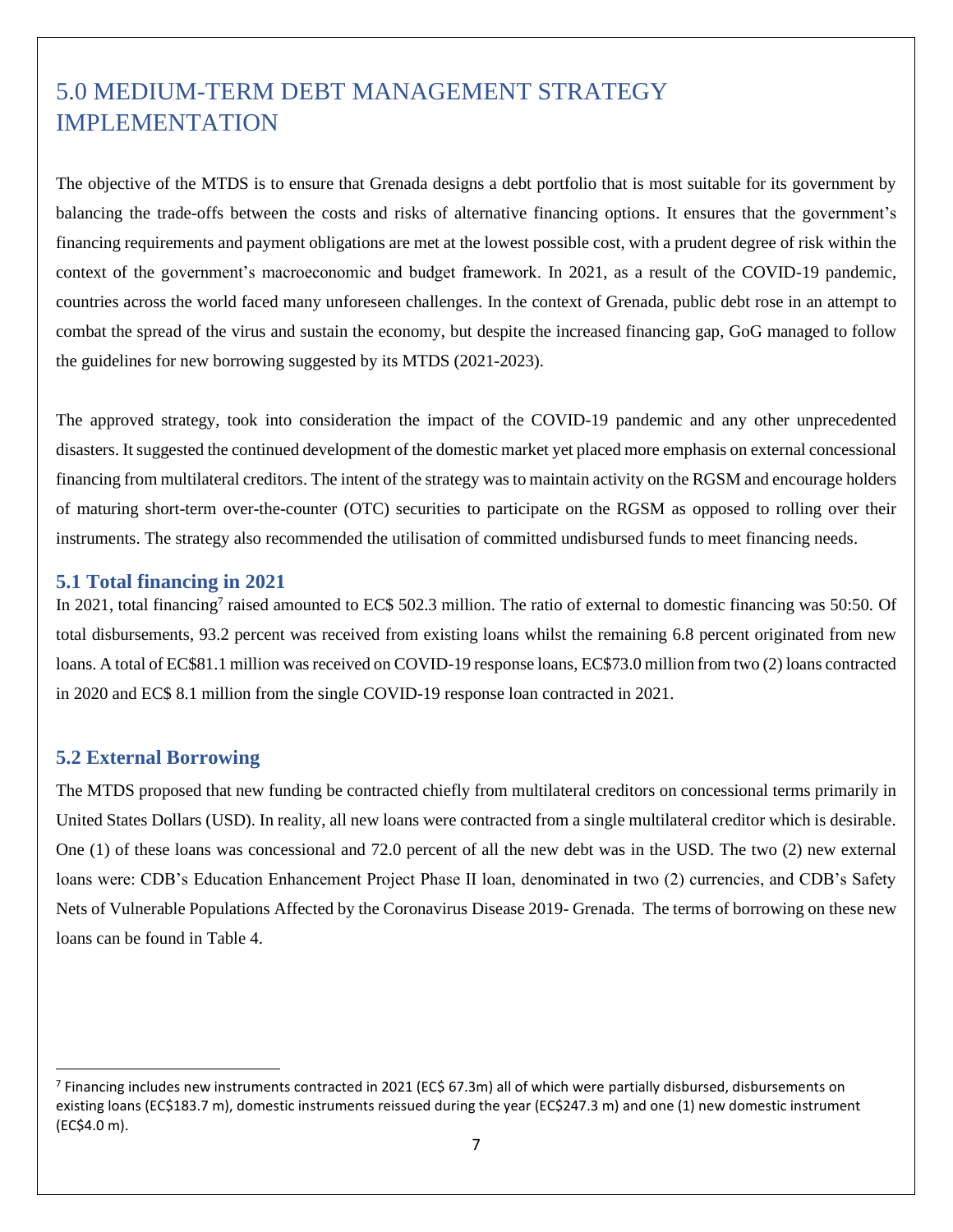# <span id="page-9-0"></span>5.0 MEDIUM-TERM DEBT MANAGEMENT STRATEGY IMPLEMENTATION

The objective of the MTDS is to ensure that Grenada designs a debt portfolio that is most suitable for its government by balancing the trade-offs between the costs and risks of alternative financing options. It ensures that the government's financing requirements and payment obligations are met at the lowest possible cost, with a prudent degree of risk within the context of the government's macroeconomic and budget framework. In 2021, as a result of the COVID-19 pandemic, countries across the world faced many unforeseen challenges. In the context of Grenada, public debt rose in an attempt to combat the spread of the virus and sustain the economy, but despite the increased financing gap, GoG managed to follow the guidelines for new borrowing suggested by its MTDS (2021-2023).

The approved strategy, took into consideration the impact of the COVID-19 pandemic and any other unprecedented disasters. It suggested the continued development of the domestic market yet placed more emphasis on external concessional financing from multilateral creditors. The intent of the strategy was to maintain activity on the RGSM and encourage holders of maturing short-term over-the-counter (OTC) securities to participate on the RGSM as opposed to rolling over their instruments. The strategy also recommended the utilisation of committed undisbursed funds to meet financing needs.

#### <span id="page-9-1"></span>**5.1 Total financing in 2021**

In 2021, total financing<sup>7</sup> raised amounted to EC\$ 502.3 million. The ratio of external to domestic financing was 50:50. Of total disbursements, 93.2 percent was received from existing loans whilst the remaining 6.8 percent originated from new loans. A total of EC\$81.1 million was received on COVID-19 response loans, EC\$73.0 million from two (2) loans contracted in 2020 and EC\$ 8.1 million from the single COVID-19 response loan contracted in 2021.

#### <span id="page-9-2"></span>**5.2 External Borrowing**

The MTDS proposed that new funding be contracted chiefly from multilateral creditors on concessional terms primarily in United States Dollars (USD). In reality, all new loans were contracted from a single multilateral creditor which is desirable. One (1) of these loans was concessional and 72.0 percent of all the new debt was in the USD. The two (2) new external loans were: CDB's Education Enhancement Project Phase II loan, denominated in two (2) currencies, and CDB's Safety Nets of Vulnerable Populations Affected by the Coronavirus Disease 2019- Grenada. The terms of borrowing on these new loans can be found in Table 4.

<sup>&</sup>lt;sup>7</sup> Financing includes new instruments contracted in 2021 (EC\$ 67.3m) all of which were partially disbursed, disbursements on existing loans (EC\$183.7 m), domestic instruments reissued during the year (EC\$247.3 m) and one (1) new domestic instrument (EC\$4.0 m).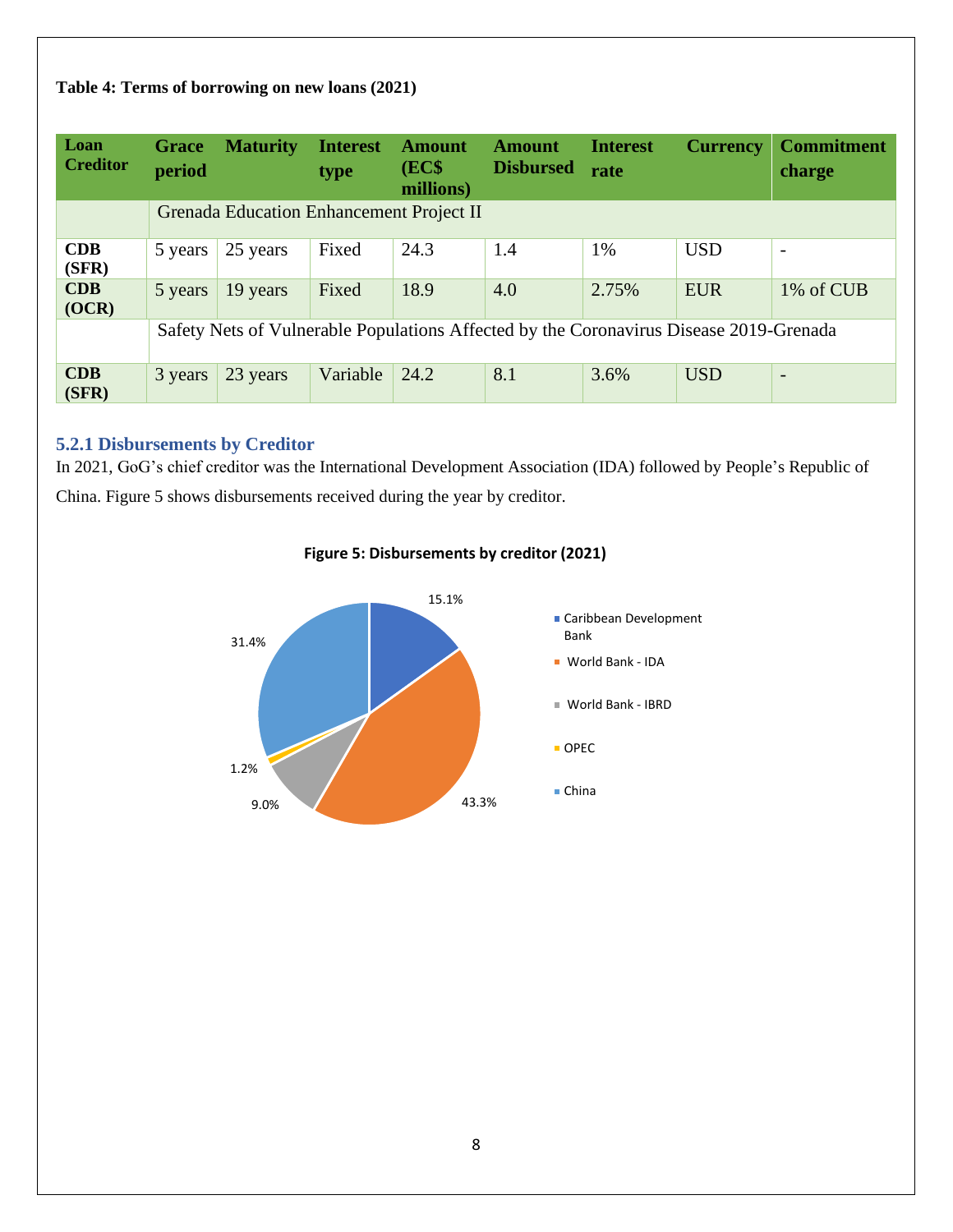#### **Table 4: Terms of borrowing on new loans (2021)**

| Loan<br><b>Creditor</b> | Grace<br>period | <b>Maturity</b>                                 | <b>Interest</b><br>type | <b>Amount</b><br>(EC\$<br>millions) | <b>Amount</b><br><b>Disbursed</b>                                                      | <b>Interest</b><br>rate | <b>Currency</b> | <b>Commitment</b><br>charge |
|-------------------------|-----------------|-------------------------------------------------|-------------------------|-------------------------------------|----------------------------------------------------------------------------------------|-------------------------|-----------------|-----------------------------|
|                         |                 | <b>Grenada Education Enhancement Project II</b> |                         |                                     |                                                                                        |                         |                 |                             |
| CDB<br>(SFR)            | 5 years         | 25 years                                        | Fixed                   | 24.3                                | 1.4                                                                                    | 1%                      | <b>USD</b>      | $\overline{\phantom{a}}$    |
| <b>CDB</b><br>(OCR)     | 5 years         | 19 years                                        | Fixed                   | 18.9                                | 4.0                                                                                    | 2.75%                   | <b>EUR</b>      | 1% of CUB                   |
|                         |                 |                                                 |                         |                                     | Safety Nets of Vulnerable Populations Affected by the Coronavirus Disease 2019-Grenada |                         |                 |                             |
| CDB<br>(SFR)            | 3 years         | 23 years                                        | Variable                | 24.2                                | 8.1                                                                                    | 3.6%                    | <b>USD</b>      | $\overline{\phantom{a}}$    |

#### <span id="page-10-0"></span>**5.2.1 Disbursements by Creditor**

In 2021, GoG's chief creditor was the International Development Association (IDA) followed by People's Republic of China. Figure 5 shows disbursements received during the year by creditor.



#### **Figure 5: Disbursements by creditor (2021)**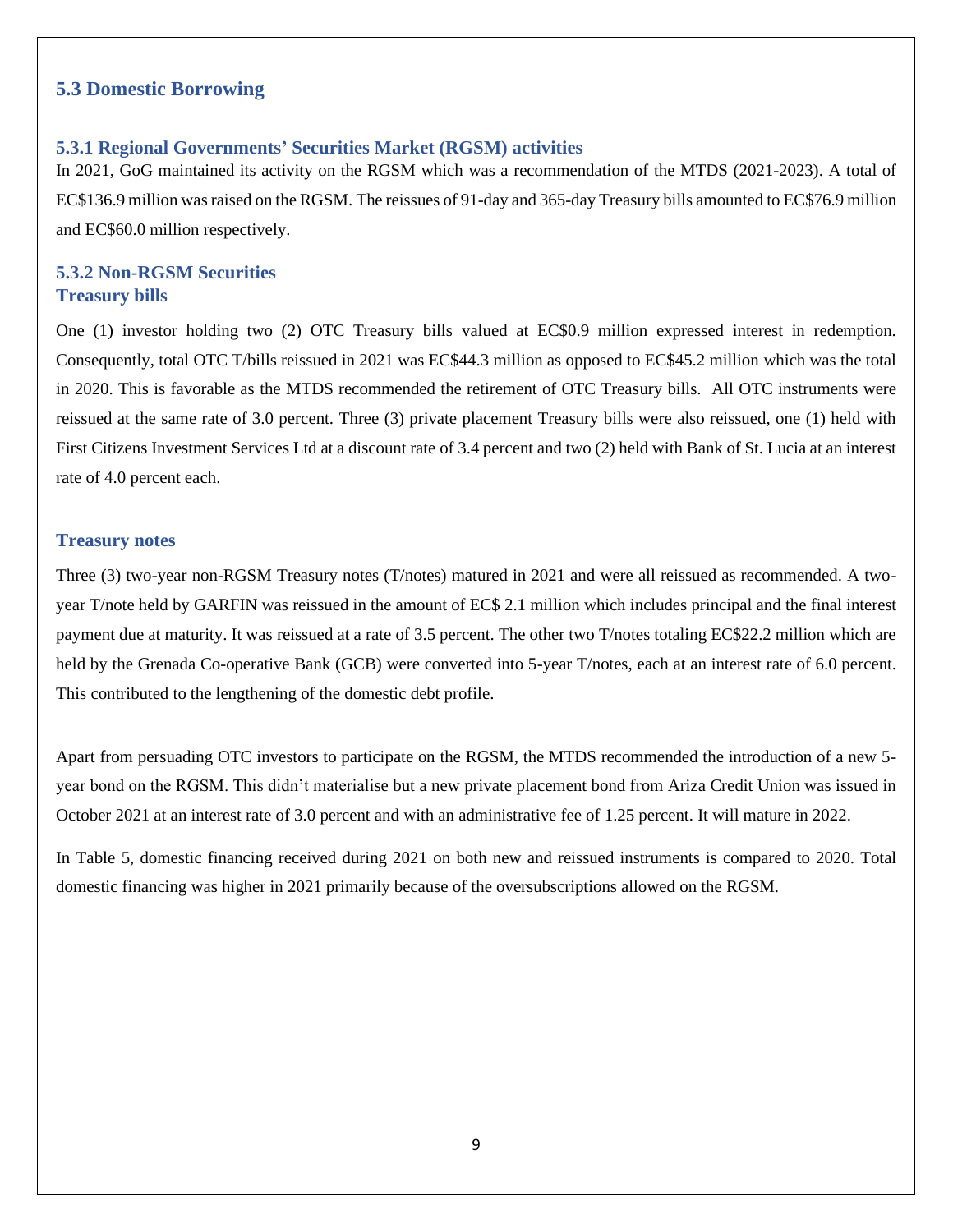#### <span id="page-11-0"></span>**5.3 Domestic Borrowing**

#### <span id="page-11-1"></span>**5.3.1 Regional Governments' Securities Market (RGSM) activities**

In 2021, GoG maintained its activity on the RGSM which was a recommendation of the MTDS (2021-2023). A total of EC\$136.9 million wasraised on the RGSM. The reissues of 91-day and 365-day Treasury bills amounted to EC\$76.9 million and EC\$60.0 million respectively.

#### <span id="page-11-2"></span>**5.3.2 Non-RGSM Securities Treasury bills**

One (1) investor holding two (2) OTC Treasury bills valued at EC\$0.9 million expressed interest in redemption. Consequently, total OTC T/bills reissued in 2021 was EC\$44.3 million as opposed to EC\$45.2 million which was the total in 2020. This is favorable as the MTDS recommended the retirement of OTC Treasury bills. All OTC instruments were reissued at the same rate of 3.0 percent. Three (3) private placement Treasury bills were also reissued, one (1) held with First Citizens Investment Services Ltd at a discount rate of 3.4 percent and two (2) held with Bank of St. Lucia at an interest rate of 4.0 percent each.

#### **Treasury notes**

Three (3) two-year non-RGSM Treasury notes (T/notes) matured in 2021 and were all reissued as recommended. A twoyear T/note held by GARFIN was reissued in the amount of EC\$ 2.1 million which includes principal and the final interest payment due at maturity. It was reissued at a rate of 3.5 percent. The other two T/notes totaling EC\$22.2 million which are held by the Grenada Co-operative Bank (GCB) were converted into 5-year T/notes, each at an interest rate of 6.0 percent. This contributed to the lengthening of the domestic debt profile.

Apart from persuading OTC investors to participate on the RGSM, the MTDS recommended the introduction of a new 5 year bond on the RGSM. This didn't materialise but a new private placement bond from Ariza Credit Union was issued in October 2021 at an interest rate of 3.0 percent and with an administrative fee of 1.25 percent. It will mature in 2022.

In Table 5, domestic financing received during 2021 on both new and reissued instruments is compared to 2020. Total domestic financing was higher in 2021 primarily because of the oversubscriptions allowed on the RGSM.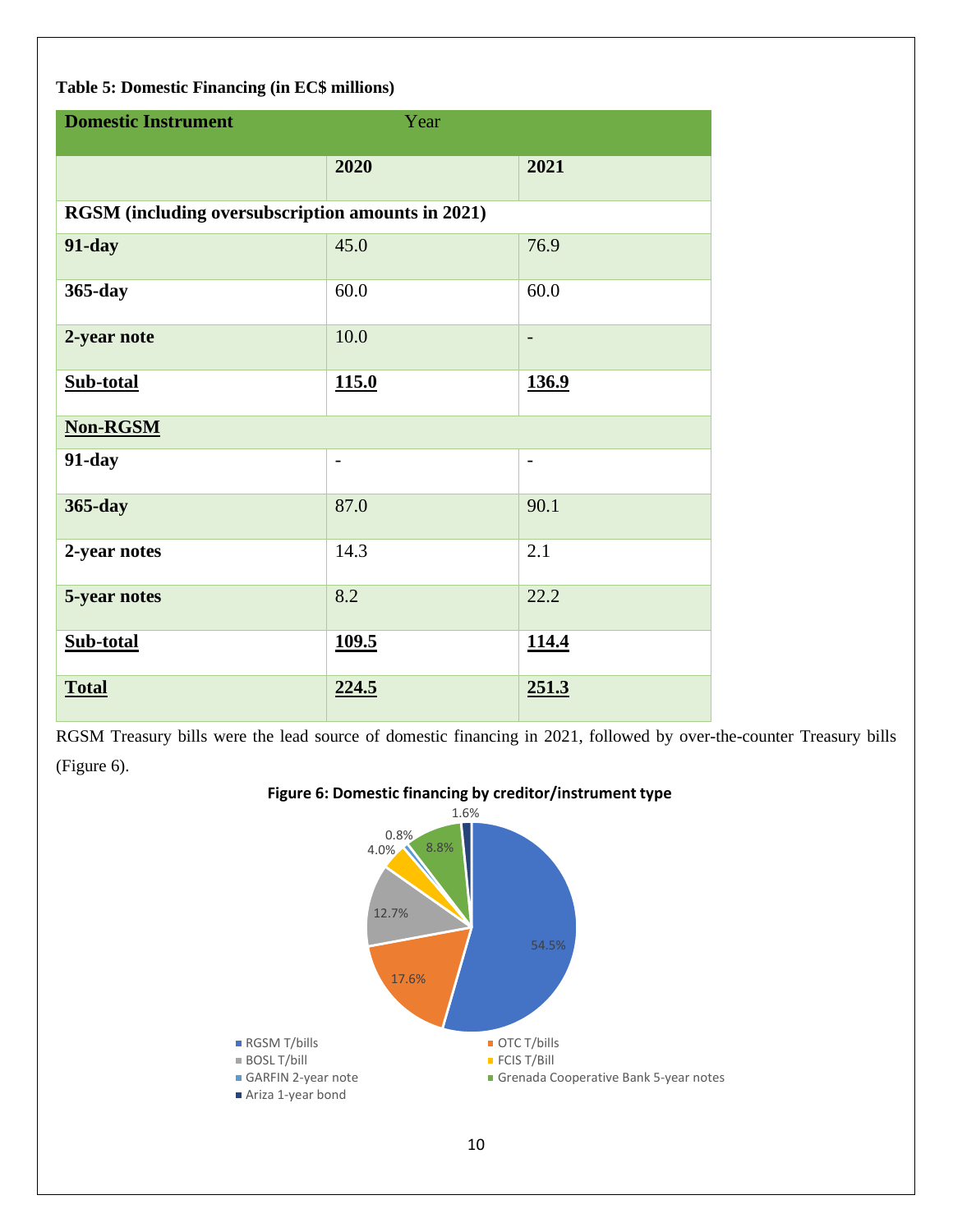#### **Table 5: Domestic Financing (in EC\$ millions)**

| <b>Domestic Instrument</b><br>Year |                                                   |                          |  |  |  |
|------------------------------------|---------------------------------------------------|--------------------------|--|--|--|
|                                    | 2020                                              | 2021                     |  |  |  |
|                                    | RGSM (including oversubscription amounts in 2021) |                          |  |  |  |
| <b>91-day</b>                      | 45.0                                              | 76.9                     |  |  |  |
| 365-day                            | 60.0                                              | 60.0                     |  |  |  |
| 2-year note                        | 10.0                                              | $\overline{\phantom{a}}$ |  |  |  |
| Sub-total                          | 115.0                                             | <u>136.9</u>             |  |  |  |
| <b>Non-RGSM</b>                    |                                                   |                          |  |  |  |
| $91$ -day                          | $\overline{\phantom{a}}$                          | $\overline{\phantom{a}}$ |  |  |  |
| 365-day                            | 87.0                                              | 90.1                     |  |  |  |
| 2-year notes                       | 14.3                                              | 2.1                      |  |  |  |
| 5-year notes                       | 8.2                                               | 22.2                     |  |  |  |
| Sub-total                          | <u>109.5</u>                                      | 114.4                    |  |  |  |
| <b>Total</b>                       | 224.5                                             | 251.3                    |  |  |  |

RGSM Treasury bills were the lead source of domestic financing in 2021, followed by over-the-counter Treasury bills (Figure 6).

#### **Figure 6: Domestic financing by creditor/instrument type**

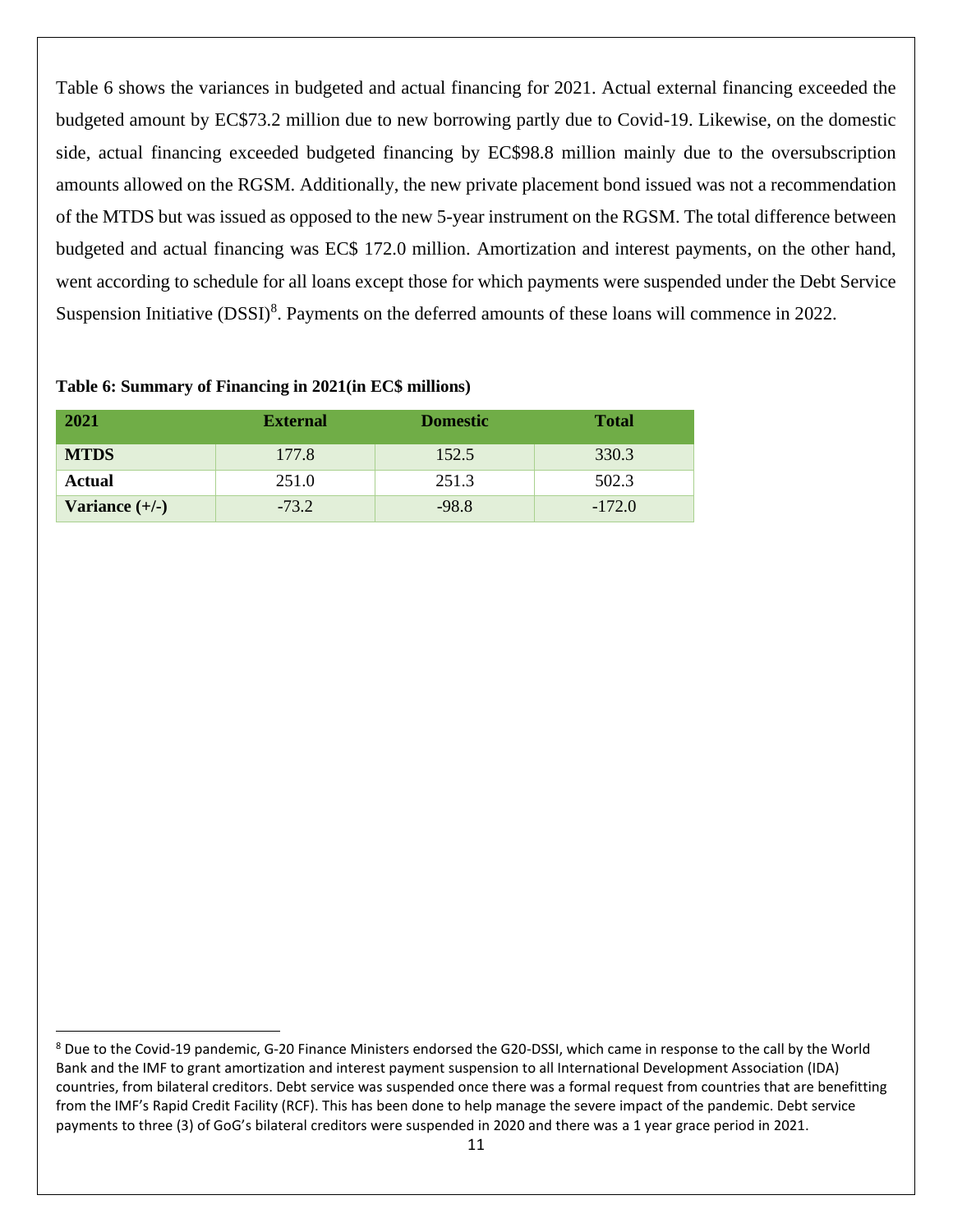Table 6 shows the variances in budgeted and actual financing for 2021. Actual external financing exceeded the budgeted amount by EC\$73.2 million due to new borrowing partly due to Covid-19. Likewise, on the domestic side, actual financing exceeded budgeted financing by EC\$98.8 million mainly due to the oversubscription amounts allowed on the RGSM. Additionally, the new private placement bond issued was not a recommendation of the MTDS but was issued as opposed to the new 5-year instrument on the RGSM. The total difference between budgeted and actual financing was EC\$ 172.0 million. Amortization and interest payments, on the other hand, went according to schedule for all loans except those for which payments were suspended under the Debt Service Suspension Initiative (DSSI)<sup>8</sup>. Payments on the deferred amounts of these loans will commence in 2022.

| 2021             | <b>External</b> | <b>Domestic</b> | <b>Total</b> |
|------------------|-----------------|-----------------|--------------|
| <b>MTDS</b>      | 177.8           | 152.5           | 330.3        |
| Actual           | 251.0           | 251.3           | 502.3        |
| Variance $(+/-)$ | $-73.2$         | $-98.8$         | $-172.0$     |

#### **Table 6: Summary of Financing in 2021(in EC\$ millions)**

<sup>8</sup> Due to the Covid-19 pandemic, G-20 Finance Ministers endorsed the G20-DSSI, which came in response to the call by the World Bank and the IMF to grant amortization and interest payment suspension to all International Development Association (IDA) countries, from bilateral creditors. Debt service was suspended once there was a formal request from countries that are benefitting from the IMF's Rapid Credit Facility (RCF). This has been done to help manage the severe impact of the pandemic. Debt service payments to three (3) of GoG's bilateral creditors were suspended in 2020 and there was a 1 year grace period in 2021.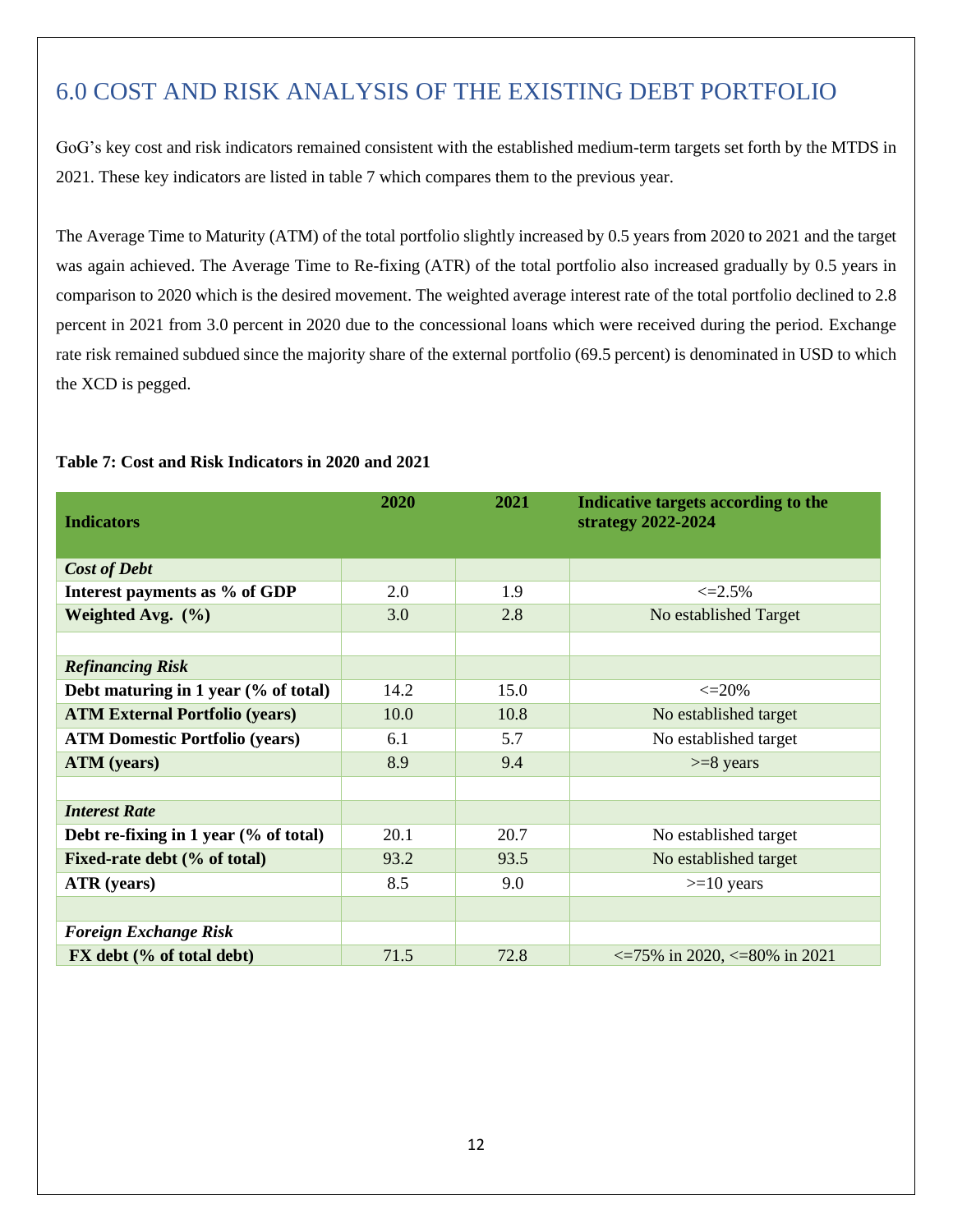# <span id="page-14-0"></span>6.0 COST AND RISK ANALYSIS OF THE EXISTING DEBT PORTFOLIO

GoG's key cost and risk indicators remained consistent with the established medium-term targets set forth by the MTDS in 2021. These key indicators are listed in table 7 which compares them to the previous year.

The Average Time to Maturity (ATM) of the total portfolio slightly increased by 0.5 years from 2020 to 2021 and the target was again achieved. The Average Time to Re-fixing (ATR) of the total portfolio also increased gradually by 0.5 years in comparison to 2020 which is the desired movement. The weighted average interest rate of the total portfolio declined to 2.8 percent in 2021 from 3.0 percent in 2020 due to the concessional loans which were received during the period. Exchange rate risk remained subdued since the majority share of the external portfolio (69.5 percent) is denominated in USD to which the XCD is pegged.

| <b>Indicators</b>                      | 2020 | 2021 | Indicative targets according to the<br>strategy 2022-2024 |
|----------------------------------------|------|------|-----------------------------------------------------------|
|                                        |      |      |                                                           |
| <b>Cost of Debt</b>                    |      |      |                                                           |
| Interest payments as % of GDP          | 2.0  | 1.9  | $\leq 2.5\%$                                              |
| Weighted Avg. $(\% )$                  | 3.0  | 2.8  | No established Target                                     |
|                                        |      |      |                                                           |
| <b>Refinancing Risk</b>                |      |      |                                                           |
| Debt maturing in 1 year (% of total)   | 14.2 | 15.0 | $\leq$ 20%                                                |
| <b>ATM External Portfolio (years)</b>  | 10.0 | 10.8 | No established target                                     |
| <b>ATM Domestic Portfolio (years)</b>  | 6.1  | 5.7  | No established target                                     |
| <b>ATM</b> (years)                     | 8.9  | 9.4  | $>= 8$ years                                              |
|                                        |      |      |                                                           |
| <b>Interest Rate</b>                   |      |      |                                                           |
| Debt re-fixing in 1 year $%$ of total) | 20.1 | 20.7 | No established target                                     |
| Fixed-rate debt (% of total)           | 93.2 | 93.5 | No established target                                     |
| <b>ATR</b> (years)                     | 8.5  | 9.0  | $>=10$ years                                              |
|                                        |      |      |                                                           |
| <b>Foreign Exchange Risk</b>           |      |      |                                                           |
| FX debt (% of total debt)              | 71.5 | 72.8 | $\epsilon$ =75% in 2020, $\epsilon$ =80% in 2021          |

#### **Table 7: Cost and Risk Indicators in 2020 and 2021**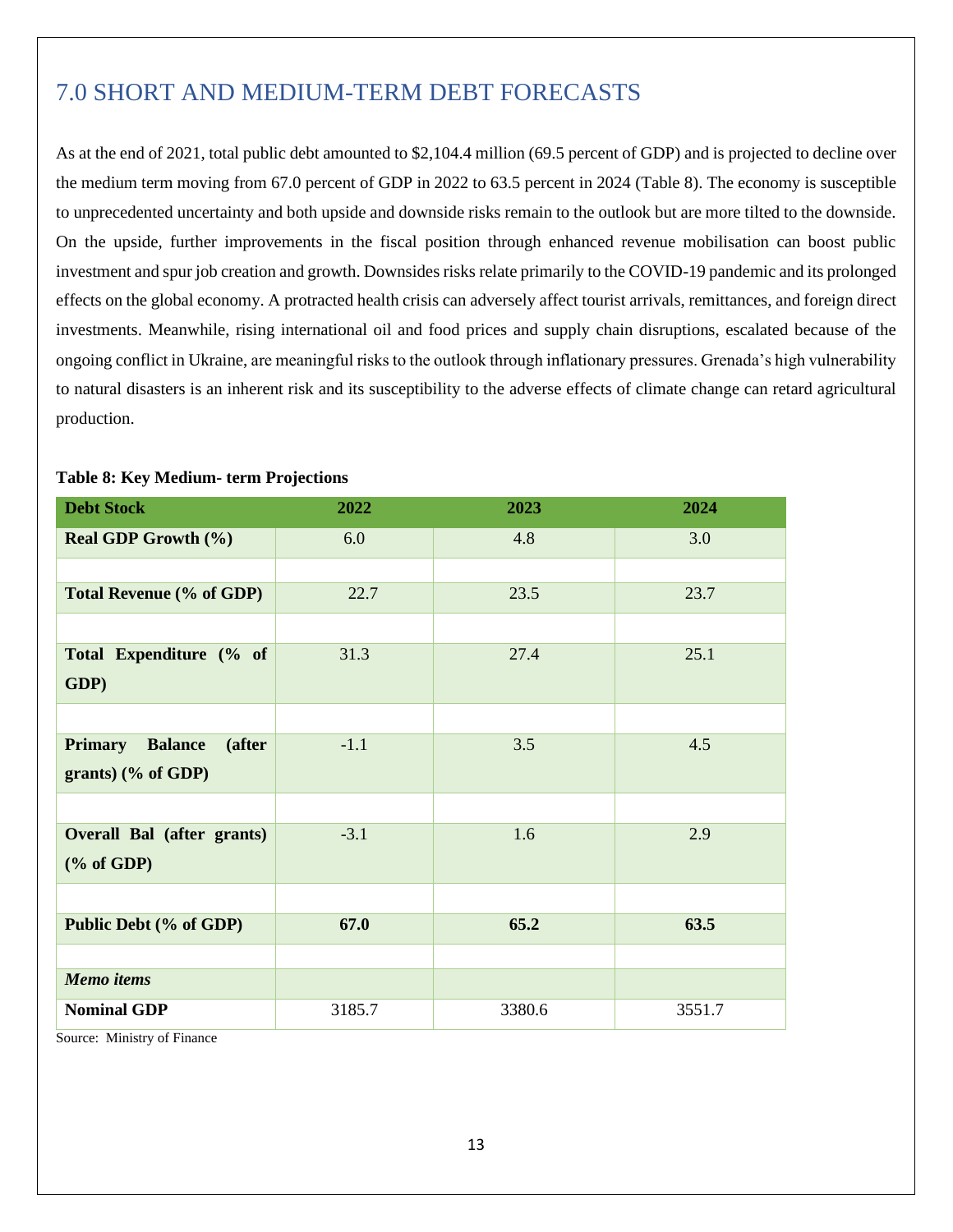# <span id="page-15-0"></span>7.0 SHORT AND MEDIUM-TERM DEBT FORECASTS

As at the end of 2021, total public debt amounted to \$2,104.4 million (69.5 percent of GDP) and is projected to decline over the medium term moving from 67.0 percent of GDP in 2022 to 63.5 percent in 2024 (Table 8). The economy is susceptible to unprecedented uncertainty and both upside and downside risks remain to the outlook but are more tilted to the downside. On the upside, further improvements in the fiscal position through enhanced revenue mobilisation can boost public investment and spur job creation and growth. Downsides risks relate primarily to the COVID-19 pandemic and its prolonged effects on the global economy. A protracted health crisis can adversely affect tourist arrivals, remittances, and foreign direct investments. Meanwhile, rising international oil and food prices and supply chain disruptions, escalated because of the ongoing conflict in Ukraine, are meaningful risks to the outlook through inflationary pressures. Grenada's high vulnerability to natural disasters is an inherent risk and its susceptibility to the adverse effects of climate change can retard agricultural production.

| <b>Debt Stock</b>                          | 2022   | 2023   | 2024   |
|--------------------------------------------|--------|--------|--------|
| <b>Real GDP Growth (%)</b>                 | 6.0    | 4.8    | 3.0    |
|                                            |        |        |        |
| <b>Total Revenue (% of GDP)</b>            | 22.7   | 23.5   | 23.7   |
|                                            |        |        |        |
| Total Expenditure (% of<br>GDP)            | 31.3   | 27.4   | 25.1   |
|                                            |        |        |        |
|                                            |        |        |        |
| <b>Primary</b><br><b>Balance</b><br>(after | $-1.1$ | 3.5    | 4.5    |
| grants) $(\%$ of GDP)                      |        |        |        |
|                                            |        |        |        |
| <b>Overall Bal (after grants)</b>          | $-3.1$ | 1.6    | 2.9    |
| $(% \mathbf{A})$ (% of GDP)                |        |        |        |
|                                            |        |        |        |
| Public Debt (% of GDP)                     | 67.0   | 65.2   | 63.5   |
|                                            |        |        |        |
| <b>Memo</b> items                          |        |        |        |
| <b>Nominal GDP</b>                         | 3185.7 | 3380.6 | 3551.7 |

#### **Table 8: Key Medium- term Projections**

Source: Ministry of Finance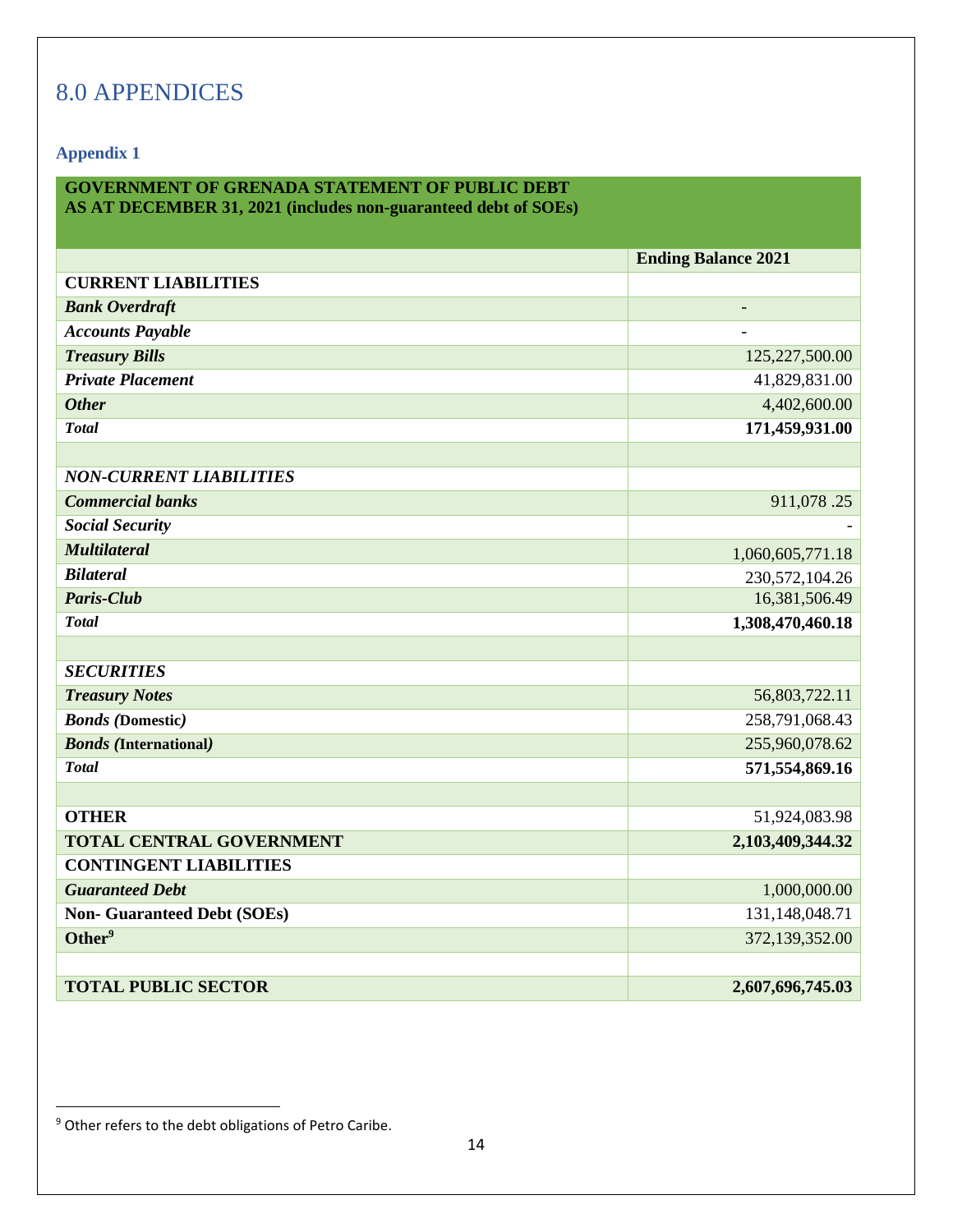# <span id="page-16-0"></span>8.0 APPENDICES

**Appendix 1**

## **GOVERNMENT OF GRENADA STATEMENT OF PUBLIC DEBT**

**AS AT DECEMBER 31, 2021 (includes non-guaranteed debt of SOEs)**

|                                    | <b>Ending Balance 2021</b> |
|------------------------------------|----------------------------|
| <b>CURRENT LIABILITIES</b>         |                            |
| <b>Bank Overdraft</b>              |                            |
| <b>Accounts Payable</b>            |                            |
| <b>Treasury Bills</b>              | 125,227,500.00             |
| <b>Private Placement</b>           | 41,829,831.00              |
| <b>Other</b>                       | 4,402,600.00               |
| <b>Total</b>                       | 171,459,931.00             |
|                                    |                            |
| <b>NON-CURRENT LIABILITIES</b>     |                            |
| <b>Commercial banks</b>            | 911,078.25                 |
| <b>Social Security</b>             |                            |
| <b>Multilateral</b>                | 1,060,605,771.18           |
| <b>Bilateral</b>                   | 230,572,104.26             |
| <b>Paris-Club</b>                  | 16,381,506.49              |
| <b>Total</b>                       | 1,308,470,460.18           |
|                                    |                            |
| <b>SECURITIES</b>                  |                            |
| <b>Treasury Notes</b>              | 56,803,722.11              |
| <b>Bonds</b> (Domestic)            | 258,791,068.43             |
| <b>Bonds</b> (International)       | 255,960,078.62             |
| <b>Total</b>                       | 571,554,869.16             |
|                                    |                            |
| <b>OTHER</b>                       | 51,924,083.98              |
| <b>TOTAL CENTRAL GOVERNMENT</b>    | 2,103,409,344.32           |
| <b>CONTINGENT LIABILITIES</b>      |                            |
| <b>Guaranteed Debt</b>             | 1,000,000.00               |
| <b>Non- Guaranteed Debt (SOEs)</b> | 131,148,048.71             |
| Other <sup>9</sup>                 | 372,139,352.00             |
|                                    |                            |
| <b>TOTAL PUBLIC SECTOR</b>         | 2,607,696,745.03           |

<sup>&</sup>lt;sup>9</sup> Other refers to the debt obligations of Petro Caribe.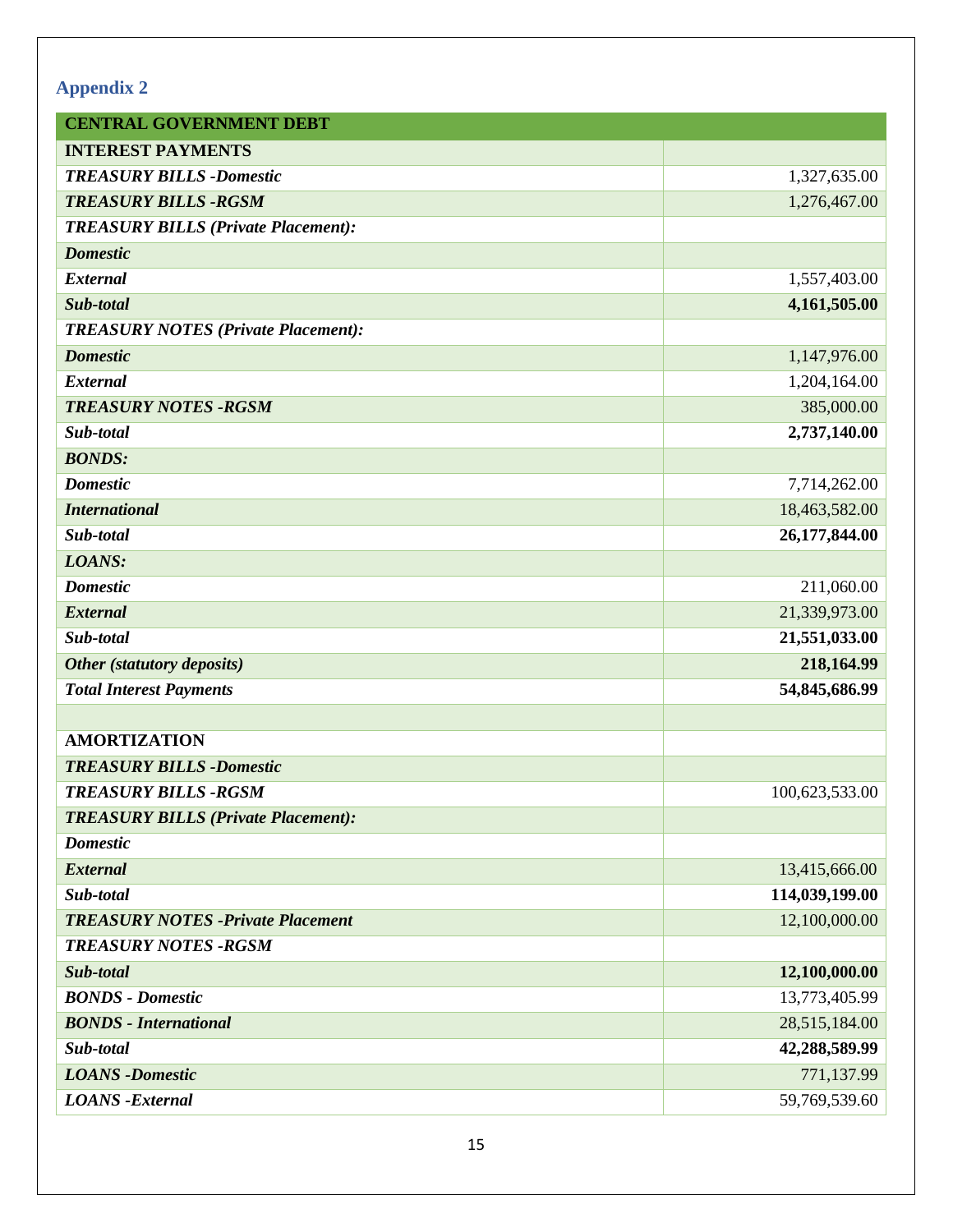## **Appendix 2**

| <b>CENTRAL GOVERNMENT DEBT</b>             |                |
|--------------------------------------------|----------------|
| <b>INTEREST PAYMENTS</b>                   |                |
| <b>TREASURY BILLS -Domestic</b>            | 1,327,635.00   |
| <b>TREASURY BILLS -RGSM</b>                | 1,276,467.00   |
| <b>TREASURY BILLS (Private Placement):</b> |                |
| <b>Domestic</b>                            |                |
| <b>External</b>                            | 1,557,403.00   |
| Sub-total                                  | 4,161,505.00   |
| <b>TREASURY NOTES (Private Placement):</b> |                |
| <b>Domestic</b>                            | 1,147,976.00   |
| <b>External</b>                            | 1,204,164.00   |
| <b>TREASURY NOTES - RGSM</b>               | 385,000.00     |
| Sub-total                                  | 2,737,140.00   |
| <b>BONDS:</b>                              |                |
| <b>Domestic</b>                            | 7,714,262.00   |
| <b>International</b>                       | 18,463,582.00  |
| Sub-total                                  | 26,177,844.00  |
| LOANS:                                     |                |
| <b>Domestic</b>                            | 211,060.00     |
| <b>External</b>                            | 21,339,973.00  |
| Sub-total                                  | 21,551,033.00  |
| Other (statutory deposits)                 | 218,164.99     |
| <b>Total Interest Payments</b>             | 54,845,686.99  |
|                                            |                |
| <b>AMORTIZATION</b>                        |                |
| <b>TREASURY BILLS -Domestic</b>            |                |
| <b>TREASURY BILLS -RGSM</b>                | 100,623,533.00 |
| <b>TREASURY BILLS (Private Placement):</b> |                |
| <b>Domestic</b>                            |                |
| <b>External</b>                            | 13,415,666.00  |
| Sub-total                                  | 114,039,199.00 |
| <b>TREASURY NOTES -Private Placement</b>   | 12,100,000.00  |
| <b>TREASURY NOTES -RGSM</b>                |                |
| Sub-total                                  | 12,100,000.00  |
| <b>BONDS</b> - Domestic                    | 13,773,405.99  |
| <b>BONDS</b> - International               | 28,515,184.00  |
| Sub-total                                  | 42,288,589.99  |
| <b>LOANS</b> -Domestic                     | 771,137.99     |
| <b>LOANS</b> - External                    | 59,769,539.60  |